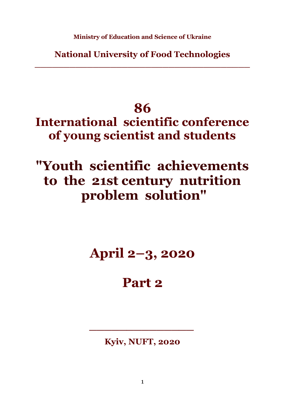**Ministry of Education and Science of Ukraine**

**National University of Food Technologies \_\_\_\_\_\_\_\_\_\_\_\_\_\_\_\_\_\_\_\_\_\_\_\_\_\_\_\_\_\_\_\_\_\_\_\_\_**

## **86**

**International scientific conference of young scientist and students**

# **"Youth scientific achievements to the 21st century nutrition problem solution"**

# **April 2–3, 2020**

### **Part 2**

#### **Kyiv, NUFT, 2020**

*\_\_\_\_\_\_\_\_\_\_\_\_\_\_*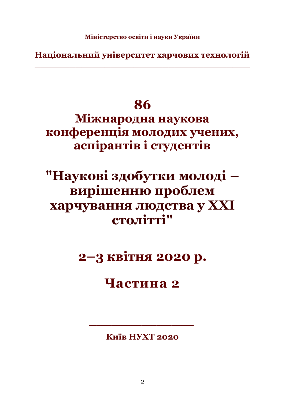**Національний університет харчових технологій \_\_\_\_\_\_\_\_\_\_\_\_\_\_\_\_\_\_\_\_\_\_\_\_\_\_\_\_\_\_\_\_\_\_\_\_\_**

## **86**

**Міжнародна наукова конференція молодих учених, аспірантів і студентів**

# **"Наукові здобутки молоді – вирішенню проблем харчування людства у XXI столітті"**

**2–3 квітня 2020 р.**

### **Частина 2**

**Київ НУХТ 2020**

*\_\_\_\_\_\_\_\_\_\_\_\_\_\_*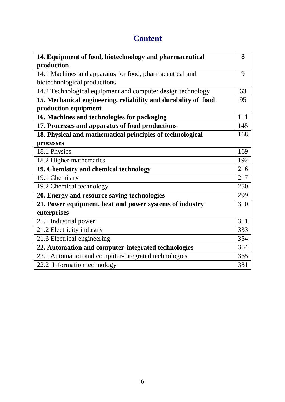#### **Content**

| 14. Equipment of food, biotechnology and pharmaceutical        | 8   |
|----------------------------------------------------------------|-----|
| production                                                     |     |
| 14.1 Machines and apparatus for food, pharmaceutical and       | 9   |
| biotechnological productions                                   |     |
| 14.2 Technological equipment and computer design technology    | 63  |
| 15. Mechanical engineering, reliability and durability of food | 95  |
| production equipment                                           |     |
| 16. Machines and technologies for packaging                    | 111 |
| 17. Processes and apparatus of food productions                | 145 |
| 18. Physical and mathematical principles of technological      | 168 |
| processes                                                      |     |
| 18.1 Physics                                                   | 169 |
| 18.2 Higher mathematics                                        | 192 |
| 19. Chemistry and chemical technology                          | 216 |
| 19.1 Chemistry                                                 | 217 |
| 19.2 Chemical technology                                       | 250 |
| 20. Energy and resource saving technologies                    | 299 |
| 21. Power equipment, heat and power systems of industry        | 310 |
| enterprises                                                    |     |
| 21.1 Industrial power                                          | 311 |
| 21.2 Electricity industry                                      | 333 |
| 21.3 Electrical engineering                                    | 354 |
| 22. Automation and computer-integrated technologies            | 364 |
| 22.1 Automation and computer-integrated technologies           | 365 |
| 22.2 Information technology                                    | 381 |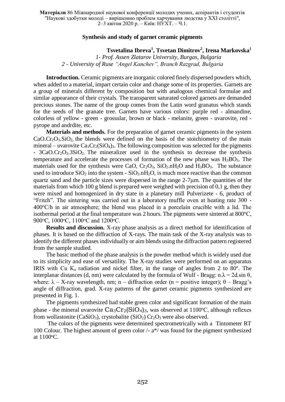**Матеріали** 86 Міжнародної наукової конференції молодих учених, аспірантів і студентів "Наукові здобутки молоді – вирішенню проблем харчування людства у XXI столітті", 2–3 квітня 2020 р. – Київ: НУХТ. – Ч.1.

#### **Synthesis and study of garnet ceramic pigments**

**Tsvetalina Ibreva<sup>1</sup> , Tsvetan Dimitrov<sup>2</sup> , Irena Markovska<sup>1</sup>**

*1- Prof. Assen Zlatarov University, Burgas, Bulgaria 2 - University of Ruse "Angel Kanchev", Branch Razgrad, Bulgaria*

**Introduction.** Ceramic pigments are inorganic colored finely dispersed powders which, when added to a material, impart certain color and change some of its properties. Garnets are a group of minerals different by composition but with analogous chemical formulae and similar appearance of their crystals. The transparent saturated colored garnets are demanded precious stones. The name of the group comes from the Latin word granatus which stands for the seeds of the granate tree. Garnets have various colors: purple red - almandine, colorless of yellow - green - grossular, brown or black - melanite, green - uvarovite, red pyrope and andrdite, etc.

**Materials and methods.** For the preparation of garnet ceramic pigments in the system  $CaO.Cr<sub>2</sub>O<sub>3</sub>.SiO<sub>2</sub>$ , the blends were defined on the basis of the stoichiometry of the main mineral – uvarovite  $Ca_3Cr_2(SiO_4)$ <sub>3</sub>. The following composition was selected for the pigments - 3CaO.Cr2O3.3SiO2**.** The mineralizer used in the synthesis to decrease the synthesis temperature and accelerate the processes of formation of the new phase was  $H_3BO_3$ . The materials used for the synthesis were CaO,  $Cr_2O_3$ ,  $SiO_2.nH_2O$  and  $H_3BO_3$ . The substance used to introduce  $SiO<sub>2</sub>$  into the system -  $SiO<sub>2</sub>$ .  $H<sub>2</sub>O$ , is much more reactive than the common quartz sand and the particle sizes were dispersed in the range  $2\n-7\mu$ m. The quantities of the materials from which 100 g blend is prepared were weighed with precision of  $0.1$  g, then they were mixed and homogenized in dry state in a planetary mill Pulverizete *-* 6, product of "Fritch". The sintering was carried out in a laboratory muffle oven at heating rate 300 -  $400^{\circ}$ C/h in air atmosphere; the blend was placed in a porcelain crucible with a lid. The isothermal period at the final temperature was 2 hours. The pigments were sintered at  $800^{\circ}$ C, 900 °С, 1000 °С, 1100 °С апd 1200 °С.

**Results and discussion.** X-ray phase analysis as a direct method for identification of phases. It is based on the diffraction of X-rays. The main task of the X-ray analysis was to identify the different phases individually or aim blends using the diffraction pattern registered from the sample studied.

The basic method of the phase analysis is the powder method which is widely used due to its simplicity and ease of versatility. The X-ray studies were performed on an apparatus IRIS with Cu  $K_{\alpha}$  radiation and nickel filter, in the range of angles from 2 to 80°. The interplanar distances (d, nm) were calculated by the formula of Wulf - Bragg: n. $\lambda = 2d$ .sin  $\theta$ , where:  $\lambda - X$ -ray wavelength, nm; n – diffraction order (n = positive integer);  $\theta$  – Bragg's angle of diffraction, grad. X-ray patterns of the garnet ceramic pigments synthesized are presented in Fig. 1.

The pigments synthesized had stable green color and significant formation of the main phase - the mineral uvarovite  $Ca_3Cr_2(SiO_4)_3$ , was observed at 1100°C, although reflexes from wollastonite (CaSiO<sub>3</sub>), crystobalite (SiO<sub>2</sub>) Cr<sub>2</sub>O<sub>3</sub> were also observed.

The colors of the pigments were determined spectrometrically with a Tintometer RT 100 Colour. The highest amount of green color /- a\*/ was found for the pigment synthesized at  $1100^{\circ}$ C.